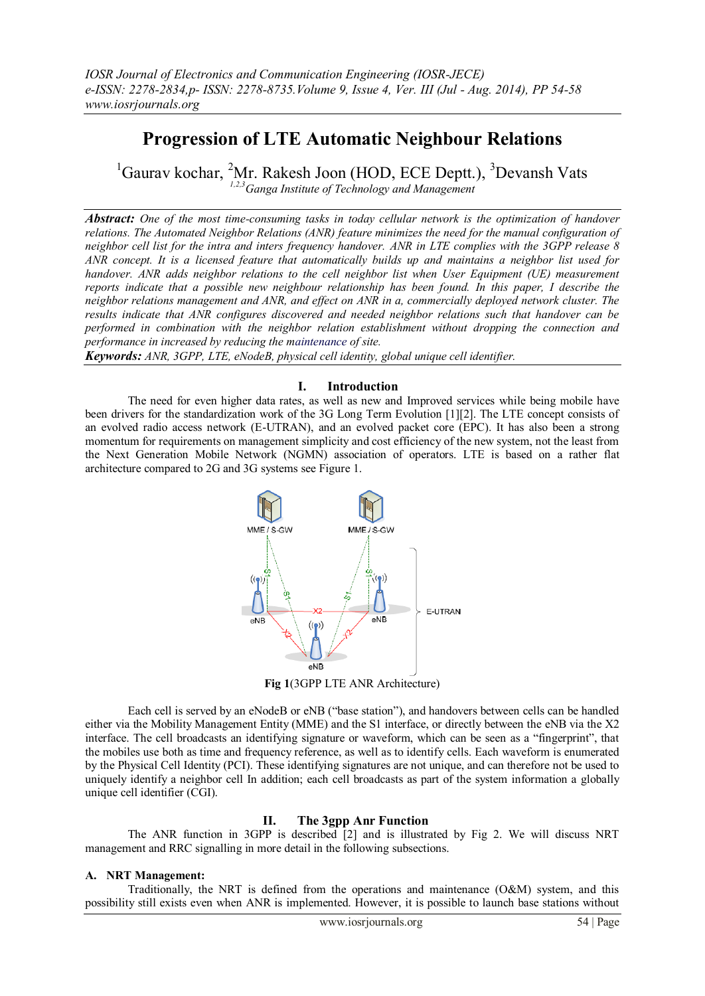# **Progression of LTE Automatic Neighbour Relations**

 ${}^{1}$ Gaurav kochar,  ${}^{2}$ Mr. Rakesh Joon (HOD, ECE Deptt.),  ${}^{3}$ Devansh Vats *1,2,3Ganga Institute of Technology and Management*

*Abstract: One of the most time-consuming tasks in today cellular network is the optimization of handover relations. The Automated Neighbor Relations (ANR) feature minimizes the need for the manual configuration of neighbor cell list for the intra and inters frequency handover. ANR in LTE complies with the 3GPP release 8 ANR concept. It is a licensed feature that automatically builds up and maintains a neighbor list used for handover. ANR adds neighbor relations to the cell neighbor list when User Equipment (UE) measurement reports indicate that a possible new neighbour relationship has been found. In this paper, I describe the neighbor relations management and ANR, and effect on ANR in a, commercially deployed network cluster. The results indicate that ANR configures discovered and needed neighbor relations such that handover can be performed in combination with the neighbor relation establishment without dropping the connection and performance in increased by reducing the maintenance of site.*

*Keywords: ANR, 3GPP, LTE, eNodeB, physical cell identity, global unique cell identifier.*

### **I. Introduction**

The need for even higher data rates, as well as new and Improved services while being mobile have been drivers for the standardization work of the 3G Long Term Evolution [1][2]. The LTE concept consists of an evolved radio access network (E-UTRAN), and an evolved packet core (EPC). It has also been a strong momentum for requirements on management simplicity and cost efficiency of the new system, not the least from the Next Generation Mobile Network (NGMN) association of operators. LTE is based on a rather flat architecture compared to 2G and 3G systems see Figure 1.



**Fig 1**(3GPP LTE ANR Architecture)

Each cell is served by an eNodeB or eNB ("base station"), and handovers between cells can be handled either via the Mobility Management Entity (MME) and the S1 interface, or directly between the eNB via the X2 interface. The cell broadcasts an identifying signature or waveform, which can be seen as a "fingerprint", that the mobiles use both as time and frequency reference, as well as to identify cells. Each waveform is enumerated by the Physical Cell Identity (PCI). These identifying signatures are not unique, and can therefore not be used to uniquely identify a neighbor cell In addition; each cell broadcasts as part of the system information a globally unique cell identifier (CGI).

### **II. The 3gpp Anr Function**

The ANR function in 3GPP is described  $\lceil 2 \rceil$  and is illustrated by Fig 2. We will discuss NRT management and RRC signalling in more detail in the following subsections.

### **A. NRT Management:**

Traditionally, the NRT is defined from the operations and maintenance (O&M) system, and this possibility still exists even when ANR is implemented. However, it is possible to launch base stations without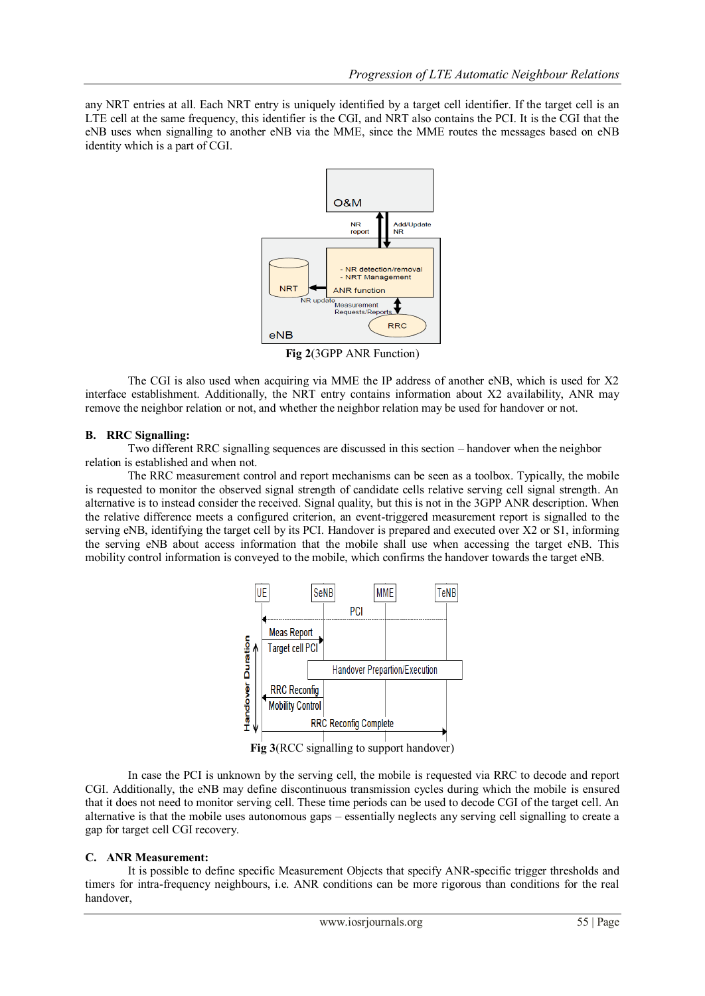any NRT entries at all. Each NRT entry is uniquely identified by a target cell identifier. If the target cell is an LTE cell at the same frequency, this identifier is the CGI, and NRT also contains the PCI. It is the CGI that the eNB uses when signalling to another eNB via the MME, since the MME routes the messages based on eNB identity which is a part of CGI.



**Fig 2**(3GPP ANR Function)

The CGI is also used when acquiring via MME the IP address of another eNB, which is used for X2 interface establishment. Additionally, the NRT entry contains information about X2 availability, ANR may remove the neighbor relation or not, and whether the neighbor relation may be used for handover or not.

### **B. RRC Signalling:**

Two different RRC signalling sequences are discussed in this section – handover when the neighbor relation is established and when not.

The RRC measurement control and report mechanisms can be seen as a toolbox. Typically, the mobile is requested to monitor the observed signal strength of candidate cells relative serving cell signal strength. An alternative is to instead consider the received. Signal quality, but this is not in the 3GPP ANR description. When the relative difference meets a configured criterion, an event-triggered measurement report is signalled to the serving eNB, identifying the target cell by its PCI. Handover is prepared and executed over X2 or S1, informing the serving eNB about access information that the mobile shall use when accessing the target eNB. This mobility control information is conveyed to the mobile, which confirms the handover towards the target eNB.



**Fig 3**(RCC signalling to support handover)

In case the PCI is unknown by the serving cell, the mobile is requested via RRC to decode and report CGI. Additionally, the eNB may define discontinuous transmission cycles during which the mobile is ensured that it does not need to monitor serving cell. These time periods can be used to decode CGI of the target cell. An alternative is that the mobile uses autonomous gaps – essentially neglects any serving cell signalling to create a gap for target cell CGI recovery.

### **C. ANR Measurement:**

It is possible to define specific Measurement Objects that specify ANR-specific trigger thresholds and timers for intra-frequency neighbours, i.e. ANR conditions can be more rigorous than conditions for the real handover,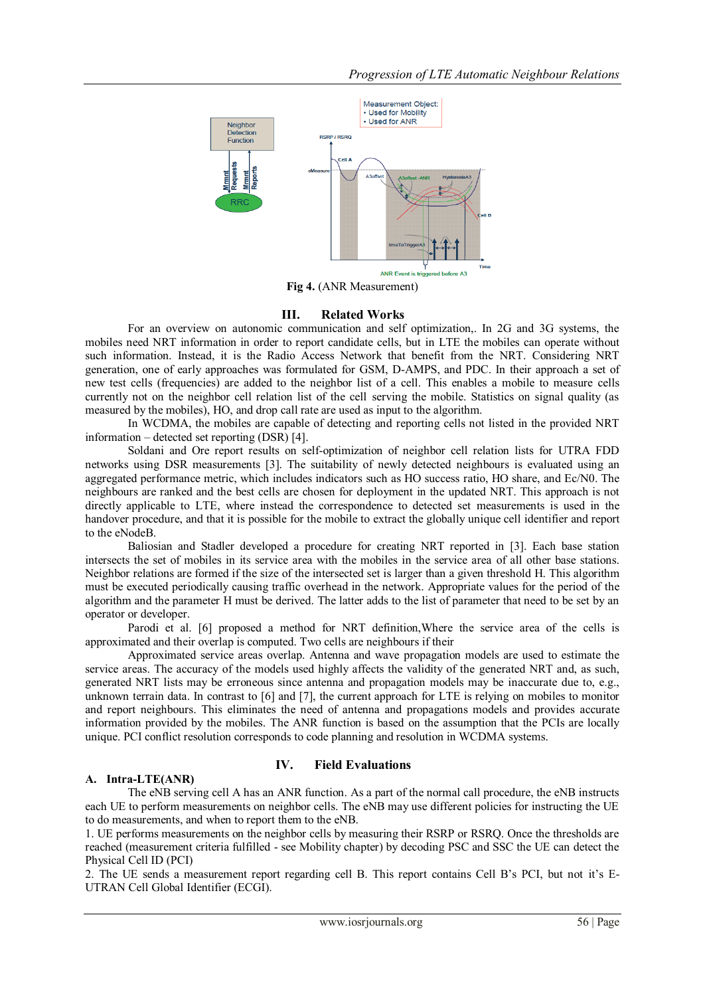

**Fig 4.** (ANR Measurement)

## **III. Related Works**

For an overview on autonomic communication and self optimization,. In 2G and 3G systems, the mobiles need NRT information in order to report candidate cells, but in LTE the mobiles can operate without such information. Instead, it is the Radio Access Network that benefit from the NRT. Considering NRT generation, one of early approaches was formulated for GSM, D-AMPS, and PDC. In their approach a set of new test cells (frequencies) are added to the neighbor list of a cell. This enables a mobile to measure cells currently not on the neighbor cell relation list of the cell serving the mobile. Statistics on signal quality (as measured by the mobiles), HO, and drop call rate are used as input to the algorithm.

In WCDMA, the mobiles are capable of detecting and reporting cells not listed in the provided NRT information – detected set reporting (DSR) [4].

Soldani and Ore report results on self-optimization of neighbor cell relation lists for UTRA FDD networks using DSR measurements [3]. The suitability of newly detected neighbours is evaluated using an aggregated performance metric, which includes indicators such as HO success ratio, HO share, and Ec/N0. The neighbours are ranked and the best cells are chosen for deployment in the updated NRT. This approach is not directly applicable to LTE, where instead the correspondence to detected set measurements is used in the handover procedure, and that it is possible for the mobile to extract the globally unique cell identifier and report to the eNodeB.

Baliosian and Stadler developed a procedure for creating NRT reported in [3]. Each base station intersects the set of mobiles in its service area with the mobiles in the service area of all other base stations. Neighbor relations are formed if the size of the intersected set is larger than a given threshold H. This algorithm must be executed periodically causing traffic overhead in the network. Appropriate values for the period of the algorithm and the parameter H must be derived. The latter adds to the list of parameter that need to be set by an operator or developer.

Parodi et al. [6] proposed a method for NRT definition,Where the service area of the cells is approximated and their overlap is computed. Two cells are neighbours if their

Approximated service areas overlap. Antenna and wave propagation models are used to estimate the service areas. The accuracy of the models used highly affects the validity of the generated NRT and, as such, generated NRT lists may be erroneous since antenna and propagation models may be inaccurate due to, e.g., unknown terrain data. In contrast to [6] and [7], the current approach for LTE is relying on mobiles to monitor and report neighbours. This eliminates the need of antenna and propagations models and provides accurate information provided by the mobiles. The ANR function is based on the assumption that the PCIs are locally unique. PCI conflict resolution corresponds to code planning and resolution in WCDMA systems.

### **A. Intra-LTE(ANR)**

### **IV. Field Evaluations**

The eNB serving cell A has an ANR function. As a part of the normal call procedure, the eNB instructs each UE to perform measurements on neighbor cells. The eNB may use different policies for instructing the UE to do measurements, and when to report them to the eNB.

1. UE performs measurements on the neighbor cells by measuring their RSRP or RSRQ. Once the thresholds are reached (measurement criteria fulfilled - see Mobility chapter) by decoding PSC and SSC the UE can detect the Physical Cell ID (PCI)

2. The UE sends a measurement report regarding cell B. This report contains Cell B's PCI, but not it's E-UTRAN Cell Global Identifier (ECGI).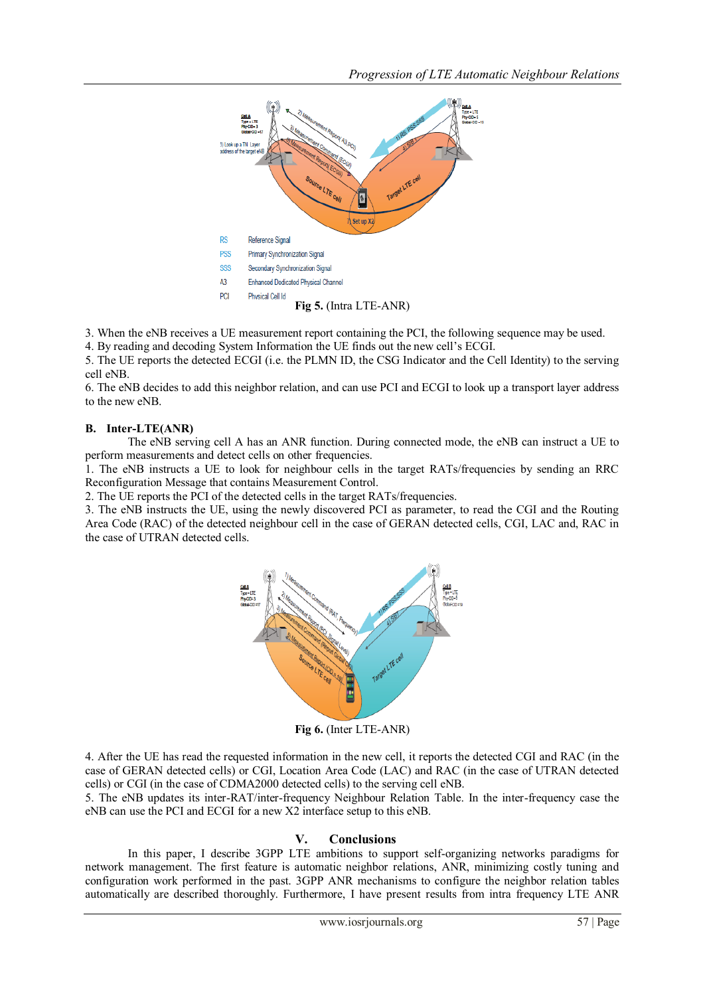

3. When the eNB receives a UE measurement report containing the PCI, the following sequence may be used.

4. By reading and decoding System Information the UE finds out the new cell's ECGI. 5. The UE reports the detected ECGI (i.e. the PLMN ID, the CSG Indicator and the Cell Identity) to the serving cell eNB.

6. The eNB decides to add this neighbor relation, and can use PCI and ECGI to look up a transport layer address to the new eNB.

### **B. Inter-LTE(ANR)**

The eNB serving cell A has an ANR function. During connected mode, the eNB can instruct a UE to perform measurements and detect cells on other frequencies.

1. The eNB instructs a UE to look for neighbour cells in the target RATs/frequencies by sending an RRC Reconfiguration Message that contains Measurement Control.

2. The UE reports the PCI of the detected cells in the target RATs/frequencies.

3. The eNB instructs the UE, using the newly discovered PCI as parameter, to read the CGI and the Routing Area Code (RAC) of the detected neighbour cell in the case of GERAN detected cells, CGI, LAC and, RAC in the case of UTRAN detected cells.



**Fig 6.** (Inter LTE-ANR)

4. After the UE has read the requested information in the new cell, it reports the detected CGI and RAC (in the case of GERAN detected cells) or CGI, Location Area Code (LAC) and RAC (in the case of UTRAN detected cells) or CGI (in the case of CDMA2000 detected cells) to the serving cell eNB.

5. The eNB updates its inter-RAT/inter-frequency Neighbour Relation Table. In the inter-frequency case the eNB can use the PCI and ECGI for a new X2 interface setup to this eNB.

### **V. Conclusions**

In this paper, I describe 3GPP LTE ambitions to support self-organizing networks paradigms for network management. The first feature is automatic neighbor relations, ANR, minimizing costly tuning and configuration work performed in the past. 3GPP ANR mechanisms to configure the neighbor relation tables automatically are described thoroughly. Furthermore, I have present results from intra frequency LTE ANR